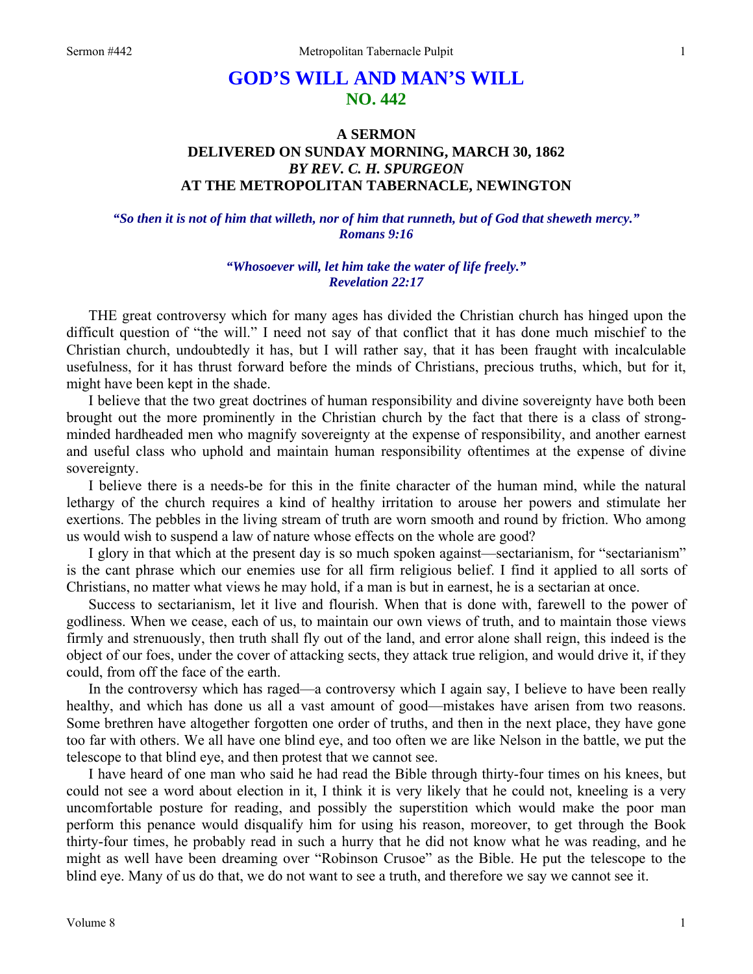## **GOD'S WILL AND MAN'S WILL NO. 442**

## **A SERMON DELIVERED ON SUNDAY MORNING, MARCH 30, 1862**  *BY REV. C. H. SPURGEON*  **AT THE METROPOLITAN TABERNACLE, NEWINGTON**

*"So then it is not of him that willeth, nor of him that runneth, but of God that sheweth mercy." Romans 9:16* 

> *"Whosoever will, let him take the water of life freely." Revelation 22:17*

THE great controversy which for many ages has divided the Christian church has hinged upon the difficult question of "the will." I need not say of that conflict that it has done much mischief to the Christian church, undoubtedly it has, but I will rather say, that it has been fraught with incalculable usefulness, for it has thrust forward before the minds of Christians, precious truths, which, but for it, might have been kept in the shade.

I believe that the two great doctrines of human responsibility and divine sovereignty have both been brought out the more prominently in the Christian church by the fact that there is a class of strongminded hardheaded men who magnify sovereignty at the expense of responsibility, and another earnest and useful class who uphold and maintain human responsibility oftentimes at the expense of divine sovereignty.

I believe there is a needs-be for this in the finite character of the human mind, while the natural lethargy of the church requires a kind of healthy irritation to arouse her powers and stimulate her exertions. The pebbles in the living stream of truth are worn smooth and round by friction. Who among us would wish to suspend a law of nature whose effects on the whole are good?

I glory in that which at the present day is so much spoken against—sectarianism, for "sectarianism" is the cant phrase which our enemies use for all firm religious belief. I find it applied to all sorts of Christians, no matter what views he may hold, if a man is but in earnest, he is a sectarian at once.

Success to sectarianism, let it live and flourish. When that is done with, farewell to the power of godliness. When we cease, each of us, to maintain our own views of truth, and to maintain those views firmly and strenuously, then truth shall fly out of the land, and error alone shall reign, this indeed is the object of our foes, under the cover of attacking sects, they attack true religion, and would drive it, if they could, from off the face of the earth.

In the controversy which has raged—a controversy which I again say, I believe to have been really healthy, and which has done us all a vast amount of good—mistakes have arisen from two reasons. Some brethren have altogether forgotten one order of truths, and then in the next place, they have gone too far with others. We all have one blind eye, and too often we are like Nelson in the battle, we put the telescope to that blind eye, and then protest that we cannot see.

I have heard of one man who said he had read the Bible through thirty-four times on his knees, but could not see a word about election in it, I think it is very likely that he could not, kneeling is a very uncomfortable posture for reading, and possibly the superstition which would make the poor man perform this penance would disqualify him for using his reason, moreover, to get through the Book thirty-four times, he probably read in such a hurry that he did not know what he was reading, and he might as well have been dreaming over "Robinson Crusoe" as the Bible. He put the telescope to the blind eye. Many of us do that, we do not want to see a truth, and therefore we say we cannot see it.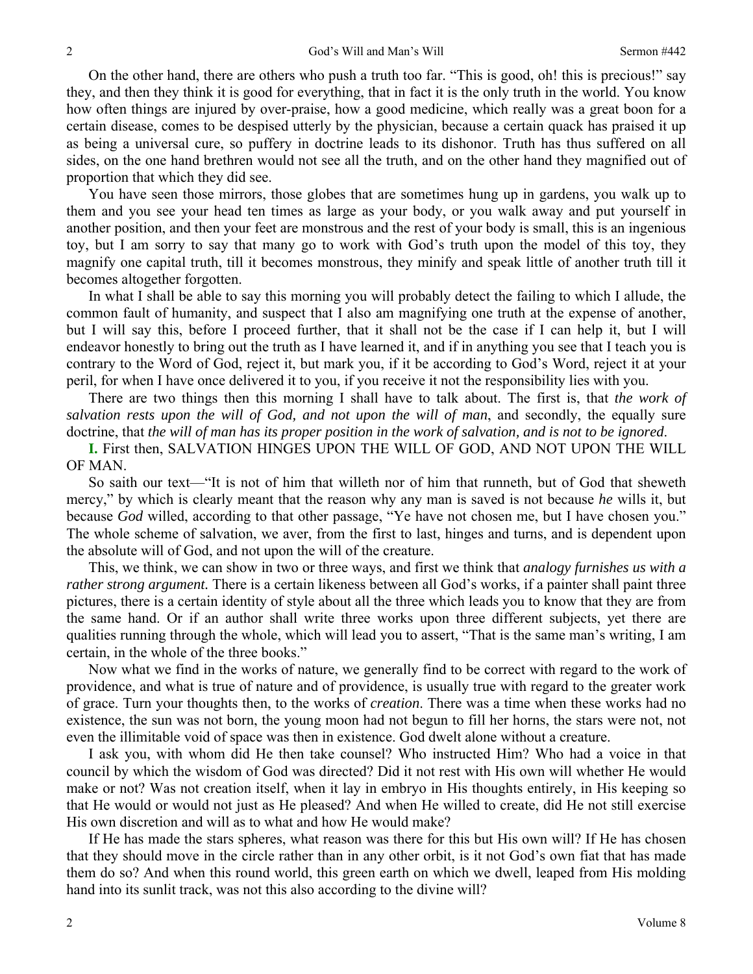On the other hand, there are others who push a truth too far. "This is good, oh! this is precious!" say they, and then they think it is good for everything, that in fact it is the only truth in the world. You know how often things are injured by over-praise, how a good medicine, which really was a great boon for a certain disease, comes to be despised utterly by the physician, because a certain quack has praised it up as being a universal cure, so puffery in doctrine leads to its dishonor. Truth has thus suffered on all sides, on the one hand brethren would not see all the truth, and on the other hand they magnified out of proportion that which they did see.

You have seen those mirrors, those globes that are sometimes hung up in gardens, you walk up to them and you see your head ten times as large as your body, or you walk away and put yourself in another position, and then your feet are monstrous and the rest of your body is small, this is an ingenious toy, but I am sorry to say that many go to work with God's truth upon the model of this toy, they magnify one capital truth, till it becomes monstrous, they minify and speak little of another truth till it becomes altogether forgotten.

In what I shall be able to say this morning you will probably detect the failing to which I allude, the common fault of humanity, and suspect that I also am magnifying one truth at the expense of another, but I will say this, before I proceed further, that it shall not be the case if I can help it, but I will endeavor honestly to bring out the truth as I have learned it, and if in anything you see that I teach you is contrary to the Word of God, reject it, but mark you, if it be according to God's Word, reject it at your peril, for when I have once delivered it to you, if you receive it not the responsibility lies with you.

There are two things then this morning I shall have to talk about. The first is, that *the work of salvation rests upon the will of God, and not upon the will of man*, and secondly, the equally sure doctrine, that *the will of man has its proper position in the work of salvation, and is not to be ignored*.

**I.** First then, SALVATION HINGES UPON THE WILL OF GOD, AND NOT UPON THE WILL OF MAN.

So saith our text—"It is not of him that willeth nor of him that runneth, but of God that sheweth mercy," by which is clearly meant that the reason why any man is saved is not because *he* wills it, but because *God* willed, according to that other passage, "Ye have not chosen me, but I have chosen you." The whole scheme of salvation, we aver, from the first to last, hinges and turns, and is dependent upon the absolute will of God, and not upon the will of the creature.

This, we think, we can show in two or three ways, and first we think that *analogy furnishes us with a rather strong argument.* There is a certain likeness between all God's works, if a painter shall paint three pictures, there is a certain identity of style about all the three which leads you to know that they are from the same hand. Or if an author shall write three works upon three different subjects, yet there are qualities running through the whole, which will lead you to assert, "That is the same man's writing, I am certain, in the whole of the three books."

Now what we find in the works of nature, we generally find to be correct with regard to the work of providence, and what is true of nature and of providence, is usually true with regard to the greater work of grace. Turn your thoughts then, to the works of *creation*. There was a time when these works had no existence, the sun was not born, the young moon had not begun to fill her horns, the stars were not, not even the illimitable void of space was then in existence. God dwelt alone without a creature.

I ask you, with whom did He then take counsel? Who instructed Him? Who had a voice in that council by which the wisdom of God was directed? Did it not rest with His own will whether He would make or not? Was not creation itself, when it lay in embryo in His thoughts entirely, in His keeping so that He would or would not just as He pleased? And when He willed to create, did He not still exercise His own discretion and will as to what and how He would make?

If He has made the stars spheres, what reason was there for this but His own will? If He has chosen that they should move in the circle rather than in any other orbit, is it not God's own fiat that has made them do so? And when this round world, this green earth on which we dwell, leaped from His molding hand into its sunlit track, was not this also according to the divine will?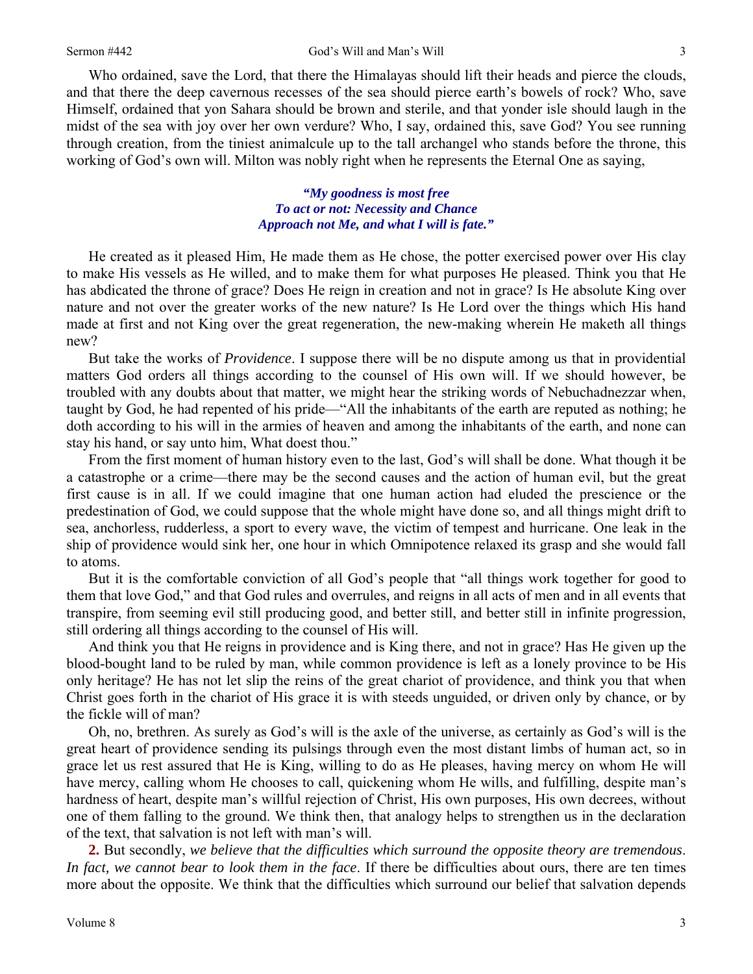Who ordained, save the Lord, that there the Himalayas should lift their heads and pierce the clouds, and that there the deep cavernous recesses of the sea should pierce earth's bowels of rock? Who, save Himself, ordained that yon Sahara should be brown and sterile, and that yonder isle should laugh in the midst of the sea with joy over her own verdure? Who, I say, ordained this, save God? You see running through creation, from the tiniest animalcule up to the tall archangel who stands before the throne, this working of God's own will. Milton was nobly right when he represents the Eternal One as saying,

> *"My goodness is most free To act or not: Necessity and Chance Approach not Me, and what I will is fate."*

He created as it pleased Him, He made them as He chose, the potter exercised power over His clay to make His vessels as He willed, and to make them for what purposes He pleased. Think you that He has abdicated the throne of grace? Does He reign in creation and not in grace? Is He absolute King over nature and not over the greater works of the new nature? Is He Lord over the things which His hand made at first and not King over the great regeneration, the new-making wherein He maketh all things new?

But take the works of *Providence*. I suppose there will be no dispute among us that in providential matters God orders all things according to the counsel of His own will. If we should however, be troubled with any doubts about that matter, we might hear the striking words of Nebuchadnezzar when, taught by God, he had repented of his pride—"All the inhabitants of the earth are reputed as nothing; he doth according to his will in the armies of heaven and among the inhabitants of the earth, and none can stay his hand, or say unto him, What doest thou."

From the first moment of human history even to the last, God's will shall be done. What though it be a catastrophe or a crime—there may be the second causes and the action of human evil, but the great first cause is in all. If we could imagine that one human action had eluded the prescience or the predestination of God, we could suppose that the whole might have done so, and all things might drift to sea, anchorless, rudderless, a sport to every wave, the victim of tempest and hurricane. One leak in the ship of providence would sink her, one hour in which Omnipotence relaxed its grasp and she would fall to atoms.

But it is the comfortable conviction of all God's people that "all things work together for good to them that love God," and that God rules and overrules, and reigns in all acts of men and in all events that transpire, from seeming evil still producing good, and better still, and better still in infinite progression, still ordering all things according to the counsel of His will.

And think you that He reigns in providence and is King there, and not in grace? Has He given up the blood-bought land to be ruled by man, while common providence is left as a lonely province to be His only heritage? He has not let slip the reins of the great chariot of providence, and think you that when Christ goes forth in the chariot of His grace it is with steeds unguided, or driven only by chance, or by the fickle will of man?

Oh, no, brethren. As surely as God's will is the axle of the universe, as certainly as God's will is the great heart of providence sending its pulsings through even the most distant limbs of human act, so in grace let us rest assured that He is King, willing to do as He pleases, having mercy on whom He will have mercy, calling whom He chooses to call, quickening whom He wills, and fulfilling, despite man's hardness of heart, despite man's willful rejection of Christ, His own purposes, His own decrees, without one of them falling to the ground. We think then, that analogy helps to strengthen us in the declaration of the text, that salvation is not left with man's will.

**2.** But secondly, *we believe that the difficulties which surround the opposite theory are tremendous*. *In fact, we cannot bear to look them in the face*. If there be difficulties about ours, there are ten times more about the opposite. We think that the difficulties which surround our belief that salvation depends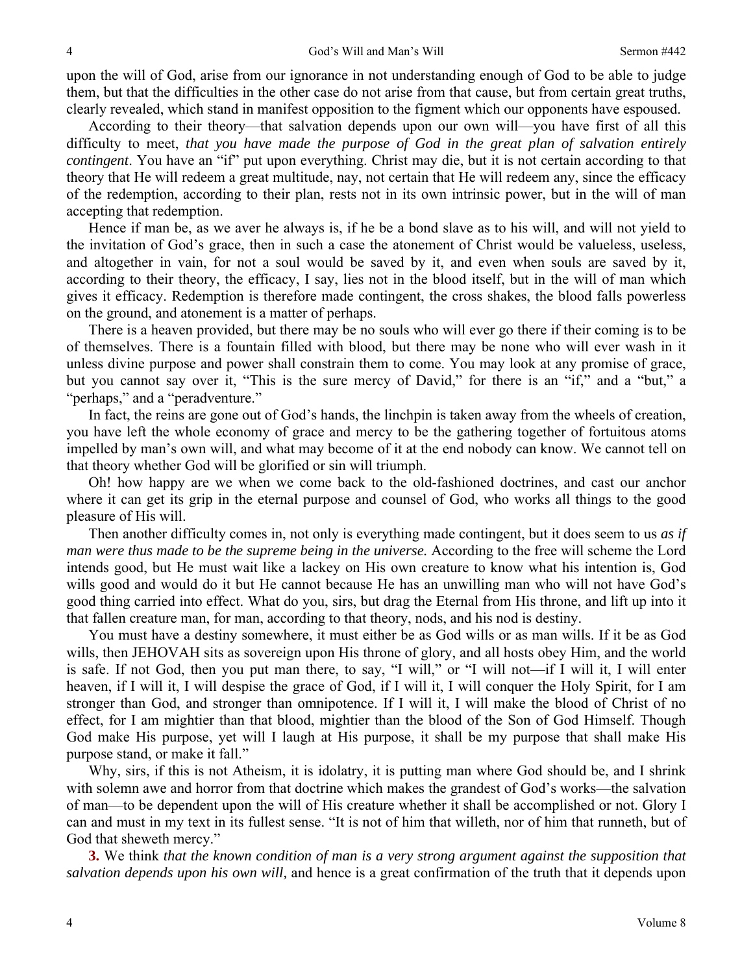upon the will of God, arise from our ignorance in not understanding enough of God to be able to judge them, but that the difficulties in the other case do not arise from that cause, but from certain great truths, clearly revealed, which stand in manifest opposition to the figment which our opponents have espoused.

According to their theory—that salvation depends upon our own will—you have first of all this difficulty to meet, *that you have made the purpose of God in the great plan of salvation entirely contingent*. You have an "if" put upon everything. Christ may die, but it is not certain according to that theory that He will redeem a great multitude, nay, not certain that He will redeem any, since the efficacy of the redemption, according to their plan, rests not in its own intrinsic power, but in the will of man accepting that redemption.

Hence if man be, as we aver he always is, if he be a bond slave as to his will, and will not yield to the invitation of God's grace, then in such a case the atonement of Christ would be valueless, useless, and altogether in vain, for not a soul would be saved by it, and even when souls are saved by it, according to their theory, the efficacy, I say, lies not in the blood itself, but in the will of man which gives it efficacy. Redemption is therefore made contingent, the cross shakes, the blood falls powerless on the ground, and atonement is a matter of perhaps.

There is a heaven provided, but there may be no souls who will ever go there if their coming is to be of themselves. There is a fountain filled with blood, but there may be none who will ever wash in it unless divine purpose and power shall constrain them to come. You may look at any promise of grace, but you cannot say over it, "This is the sure mercy of David," for there is an "if," and a "but," a "perhaps," and a "peradventure."

In fact, the reins are gone out of God's hands, the linchpin is taken away from the wheels of creation, you have left the whole economy of grace and mercy to be the gathering together of fortuitous atoms impelled by man's own will, and what may become of it at the end nobody can know. We cannot tell on that theory whether God will be glorified or sin will triumph.

Oh! how happy are we when we come back to the old-fashioned doctrines, and cast our anchor where it can get its grip in the eternal purpose and counsel of God, who works all things to the good pleasure of His will.

Then another difficulty comes in, not only is everything made contingent, but it does seem to us *as if man were thus made to be the supreme being in the universe.* According to the free will scheme the Lord intends good, but He must wait like a lackey on His own creature to know what his intention is, God wills good and would do it but He cannot because He has an unwilling man who will not have God's good thing carried into effect. What do you, sirs, but drag the Eternal from His throne, and lift up into it that fallen creature man, for man, according to that theory, nods, and his nod is destiny.

You must have a destiny somewhere, it must either be as God wills or as man wills. If it be as God wills, then JEHOVAH sits as sovereign upon His throne of glory, and all hosts obey Him, and the world is safe. If not God, then you put man there, to say, "I will," or "I will not—if I will it, I will enter heaven, if I will it, I will despise the grace of God, if I will it, I will conquer the Holy Spirit, for I am stronger than God, and stronger than omnipotence. If I will it, I will make the blood of Christ of no effect, for I am mightier than that blood, mightier than the blood of the Son of God Himself. Though God make His purpose, yet will I laugh at His purpose, it shall be my purpose that shall make His purpose stand, or make it fall."

Why, sirs, if this is not Atheism, it is idolatry, it is putting man where God should be, and I shrink with solemn awe and horror from that doctrine which makes the grandest of God's works—the salvation of man—to be dependent upon the will of His creature whether it shall be accomplished or not. Glory I can and must in my text in its fullest sense. "It is not of him that willeth, nor of him that runneth, but of God that sheweth mercy."

**3.** We think *that the known condition of man is a very strong argument against the supposition that salvation depends upon his own will,* and hence is a great confirmation of the truth that it depends upon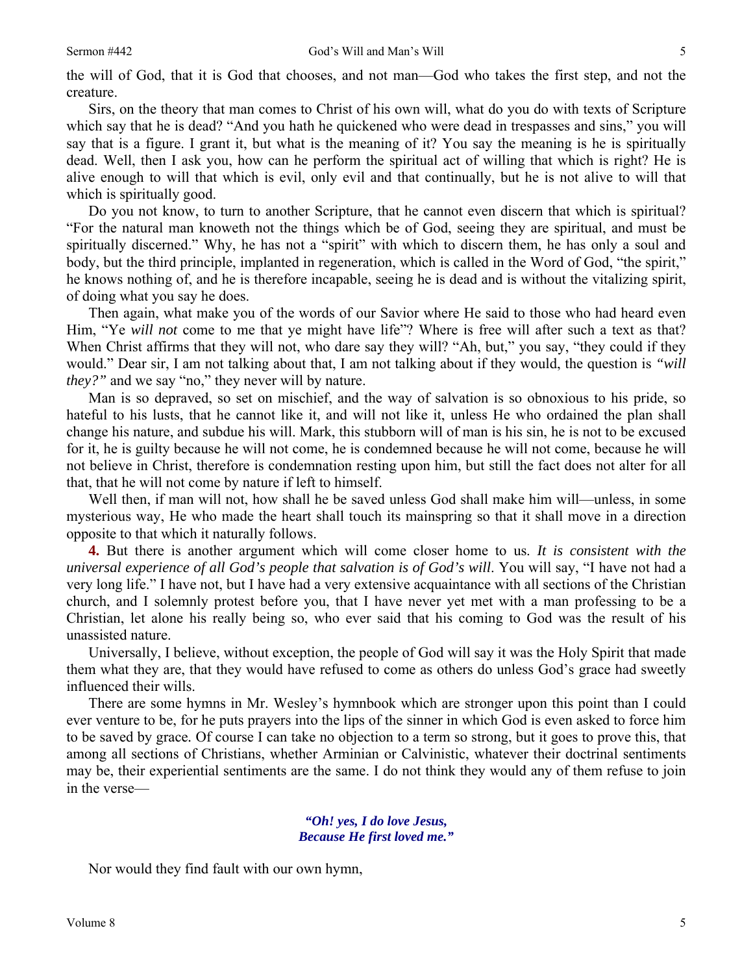the will of God, that it is God that chooses, and not man—God who takes the first step, and not the creature.

Sirs, on the theory that man comes to Christ of his own will, what do you do with texts of Scripture which say that he is dead? "And you hath he quickened who were dead in trespasses and sins," you will say that is a figure. I grant it, but what is the meaning of it? You say the meaning is he is spiritually dead. Well, then I ask you, how can he perform the spiritual act of willing that which is right? He is alive enough to will that which is evil, only evil and that continually, but he is not alive to will that which is spiritually good.

Do you not know, to turn to another Scripture, that he cannot even discern that which is spiritual? "For the natural man knoweth not the things which be of God, seeing they are spiritual, and must be spiritually discerned." Why, he has not a "spirit" with which to discern them, he has only a soul and body, but the third principle, implanted in regeneration, which is called in the Word of God, "the spirit," he knows nothing of, and he is therefore incapable, seeing he is dead and is without the vitalizing spirit, of doing what you say he does.

Then again, what make you of the words of our Savior where He said to those who had heard even Him, "Ye *will not* come to me that ye might have life"? Where is free will after such a text as that? When Christ affirms that they will not, who dare say they will? "Ah, but," you say, "they could if they would." Dear sir, I am not talking about that, I am not talking about if they would, the question is *"will they?"* and we say "no," they never will by nature.

Man is so depraved, so set on mischief, and the way of salvation is so obnoxious to his pride, so hateful to his lusts, that he cannot like it, and will not like it, unless He who ordained the plan shall change his nature, and subdue his will. Mark, this stubborn will of man is his sin, he is not to be excused for it, he is guilty because he will not come, he is condemned because he will not come, because he will not believe in Christ, therefore is condemnation resting upon him, but still the fact does not alter for all that, that he will not come by nature if left to himself.

Well then, if man will not, how shall he be saved unless God shall make him will—unless, in some mysterious way, He who made the heart shall touch its mainspring so that it shall move in a direction opposite to that which it naturally follows.

**4.** But there is another argument which will come closer home to us. *It is consistent with the universal experience of all God's people that salvation is of God's will*. You will say, "I have not had a very long life." I have not, but I have had a very extensive acquaintance with all sections of the Christian church, and I solemnly protest before you, that I have never yet met with a man professing to be a Christian, let alone his really being so, who ever said that his coming to God was the result of his unassisted nature.

Universally, I believe, without exception, the people of God will say it was the Holy Spirit that made them what they are, that they would have refused to come as others do unless God's grace had sweetly influenced their wills.

There are some hymns in Mr. Wesley's hymnbook which are stronger upon this point than I could ever venture to be, for he puts prayers into the lips of the sinner in which God is even asked to force him to be saved by grace*.* Of course I can take no objection to a term so strong, but it goes to prove this, that among all sections of Christians, whether Arminian or Calvinistic, whatever their doctrinal sentiments may be, their experiential sentiments are the same. I do not think they would any of them refuse to join in the verse—

## *"Oh! yes, I do love Jesus, Because He first loved me."*

Nor would they find fault with our own hymn,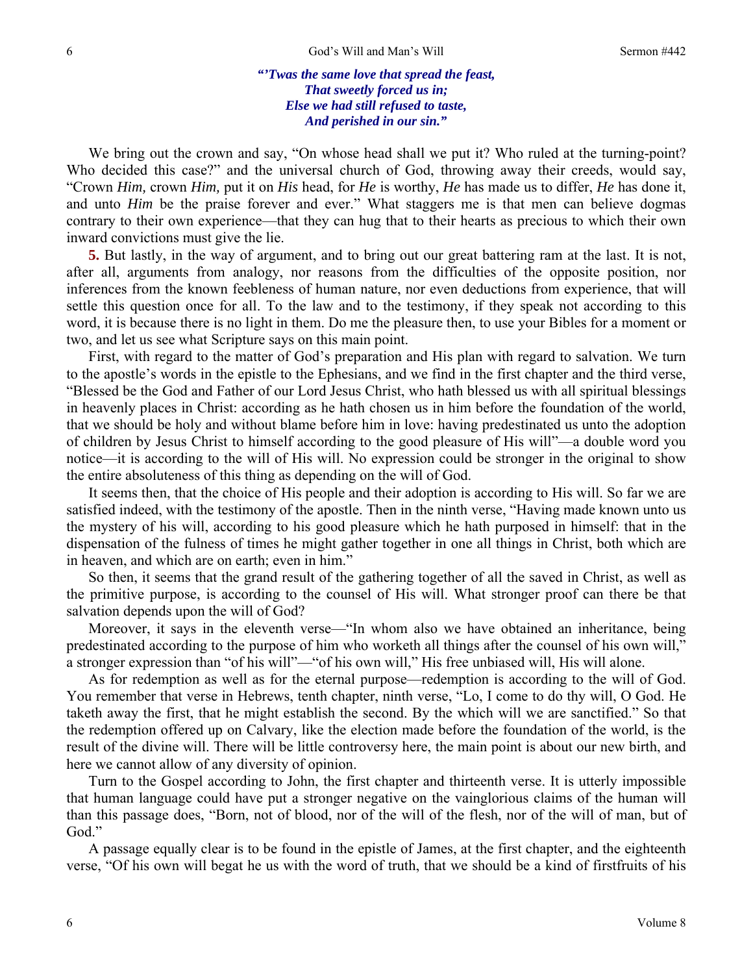## *"'Twas the same love that spread the feast, That sweetly forced us in; Else we had still refused to taste, And perished in our sin."*

We bring out the crown and say, "On whose head shall we put it? Who ruled at the turning-point? Who decided this case?" and the universal church of God, throwing away their creeds, would say, "Crown *Him,* crown *Him,* put it on *His* head, for *He* is worthy, *He* has made us to differ, *He* has done it, and unto *Him* be the praise forever and ever." What staggers me is that men can believe dogmas contrary to their own experience—that they can hug that to their hearts as precious to which their own inward convictions must give the lie.

**5.** But lastly, in the way of argument, and to bring out our great battering ram at the last. It is not, after all, arguments from analogy, nor reasons from the difficulties of the opposite position, nor inferences from the known feebleness of human nature, nor even deductions from experience, that will settle this question once for all. To the law and to the testimony, if they speak not according to this word, it is because there is no light in them. Do me the pleasure then, to use your Bibles for a moment or two, and let us see what Scripture says on this main point.

First, with regard to the matter of God's preparation and His plan with regard to salvation. We turn to the apostle's words in the epistle to the Ephesians, and we find in the first chapter and the third verse, "Blessed be the God and Father of our Lord Jesus Christ, who hath blessed us with all spiritual blessings in heavenly places in Christ: according as he hath chosen us in him before the foundation of the world, that we should be holy and without blame before him in love: having predestinated us unto the adoption of children by Jesus Christ to himself according to the good pleasure of His will"—a double word you notice—it is according to the will of His will. No expression could be stronger in the original to show the entire absoluteness of this thing as depending on the will of God.

It seems then, that the choice of His people and their adoption is according to His will. So far we are satisfied indeed, with the testimony of the apostle. Then in the ninth verse, "Having made known unto us the mystery of his will, according to his good pleasure which he hath purposed in himself: that in the dispensation of the fulness of times he might gather together in one all things in Christ, both which are in heaven, and which are on earth; even in him."

So then, it seems that the grand result of the gathering together of all the saved in Christ, as well as the primitive purpose, is according to the counsel of His will. What stronger proof can there be that salvation depends upon the will of God?

Moreover, it says in the eleventh verse—"In whom also we have obtained an inheritance, being predestinated according to the purpose of him who worketh all things after the counsel of his own will," a stronger expression than "of his will"—"of his own will," His free unbiased will, His will alone.

As for redemption as well as for the eternal purpose—redemption is according to the will of God. You remember that verse in Hebrews, tenth chapter, ninth verse, "Lo, I come to do thy will, O God. He taketh away the first, that he might establish the second. By the which will we are sanctified." So that the redemption offered up on Calvary, like the election made before the foundation of the world, is the result of the divine will. There will be little controversy here, the main point is about our new birth, and here we cannot allow of any diversity of opinion.

Turn to the Gospel according to John, the first chapter and thirteenth verse. It is utterly impossible that human language could have put a stronger negative on the vainglorious claims of the human will than this passage does, "Born, not of blood, nor of the will of the flesh, nor of the will of man, but of God."

A passage equally clear is to be found in the epistle of James, at the first chapter, and the eighteenth verse, "Of his own will begat he us with the word of truth, that we should be a kind of firstfruits of his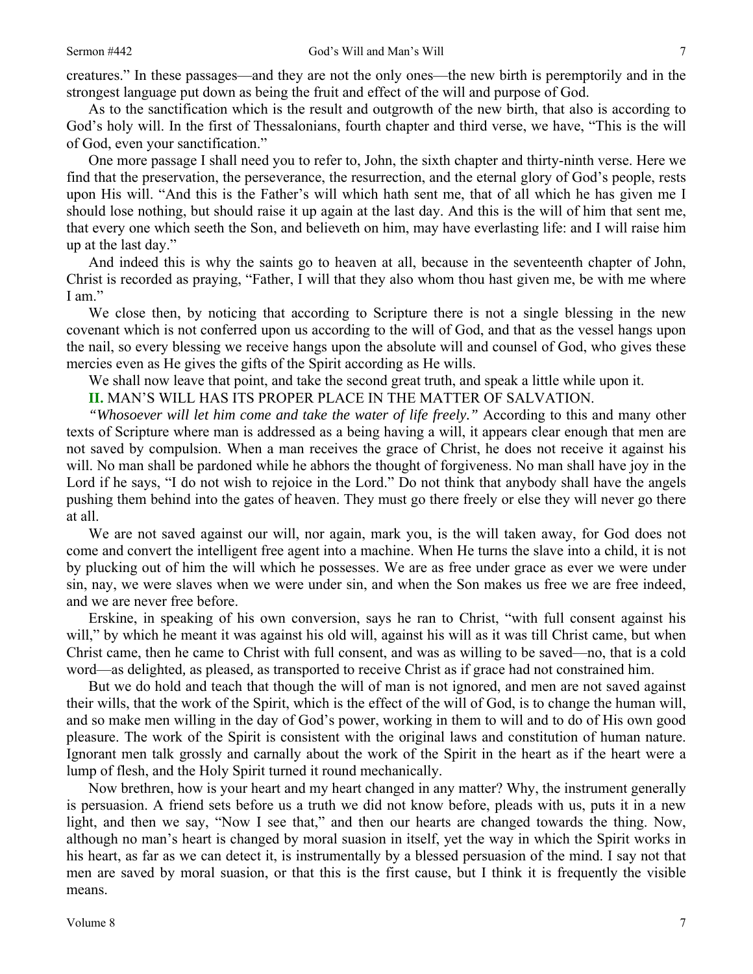creatures." In these passages—and they are not the only ones—the new birth is peremptorily and in the strongest language put down as being the fruit and effect of the will and purpose of God.

As to the sanctification which is the result and outgrowth of the new birth, that also is according to God's holy will. In the first of Thessalonians, fourth chapter and third verse, we have, "This is the will of God, even your sanctification."

One more passage I shall need you to refer to, John, the sixth chapter and thirty-ninth verse. Here we find that the preservation, the perseverance, the resurrection, and the eternal glory of God's people, rests upon His will. "And this is the Father's will which hath sent me, that of all which he has given me I should lose nothing, but should raise it up again at the last day. And this is the will of him that sent me, that every one which seeth the Son, and believeth on him, may have everlasting life: and I will raise him up at the last day."

And indeed this is why the saints go to heaven at all, because in the seventeenth chapter of John, Christ is recorded as praying, "Father, I will that they also whom thou hast given me, be with me where I am."

We close then, by noticing that according to Scripture there is not a single blessing in the new covenant which is not conferred upon us according to the will of God, and that as the vessel hangs upon the nail, so every blessing we receive hangs upon the absolute will and counsel of God, who gives these mercies even as He gives the gifts of the Spirit according as He wills.

We shall now leave that point, and take the second great truth, and speak a little while upon it.

**II.** MAN'S WILL HAS ITS PROPER PLACE IN THE MATTER OF SALVATION.

*"Whosoever will let him come and take the water of life freely."* According to this and many other texts of Scripture where man is addressed as a being having a will, it appears clear enough that men are not saved by compulsion. When a man receives the grace of Christ, he does not receive it against his will. No man shall be pardoned while he abhors the thought of forgiveness. No man shall have joy in the Lord if he says, "I do not wish to rejoice in the Lord." Do not think that anybody shall have the angels pushing them behind into the gates of heaven. They must go there freely or else they will never go there at all.

We are not saved against our will, nor again, mark you, is the will taken away, for God does not come and convert the intelligent free agent into a machine. When He turns the slave into a child, it is not by plucking out of him the will which he possesses. We are as free under grace as ever we were under sin, nay, we were slaves when we were under sin, and when the Son makes us free we are free indeed, and we are never free before.

Erskine, in speaking of his own conversion, says he ran to Christ, "with full consent against his will," by which he meant it was against his old will, against his will as it was till Christ came, but when Christ came, then he came to Christ with full consent, and was as willing to be saved—no, that is a cold word—as delighted*,* as pleased*,* as transported to receive Christ as if grace had not constrained him.

But we do hold and teach that though the will of man is not ignored, and men are not saved against their wills, that the work of the Spirit, which is the effect of the will of God, is to change the human will, and so make men willing in the day of God's power, working in them to will and to do of His own good pleasure. The work of the Spirit is consistent with the original laws and constitution of human nature. Ignorant men talk grossly and carnally about the work of the Spirit in the heart as if the heart were a lump of flesh, and the Holy Spirit turned it round mechanically.

Now brethren, how is your heart and my heart changed in any matter? Why, the instrument generally is persuasion. A friend sets before us a truth we did not know before, pleads with us, puts it in a new light, and then we say, "Now I see that," and then our hearts are changed towards the thing. Now, although no man's heart is changed by moral suasion in itself, yet the way in which the Spirit works in his heart, as far as we can detect it, is instrumentally by a blessed persuasion of the mind. I say not that men are saved by moral suasion, or that this is the first cause, but I think it is frequently the visible means.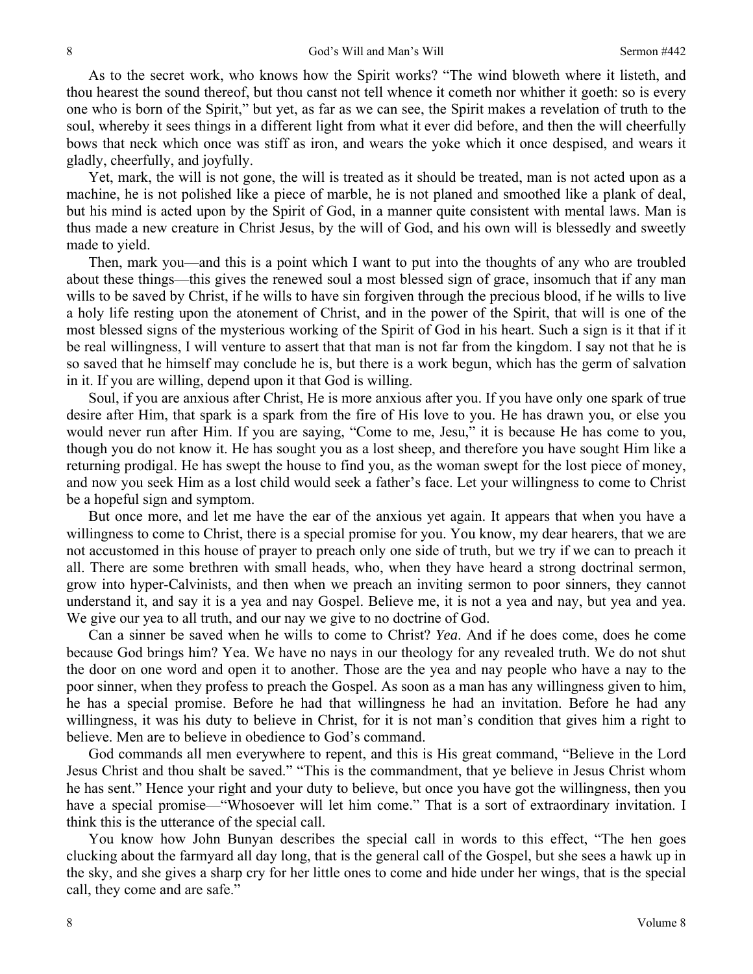As to the secret work, who knows how the Spirit works? "The wind bloweth where it listeth, and thou hearest the sound thereof, but thou canst not tell whence it cometh nor whither it goeth: so is every one who is born of the Spirit," but yet, as far as we can see, the Spirit makes a revelation of truth to the soul, whereby it sees things in a different light from what it ever did before, and then the will cheerfully bows that neck which once was stiff as iron, and wears the yoke which it once despised, and wears it gladly, cheerfully, and joyfully.

Yet, mark, the will is not gone, the will is treated as it should be treated, man is not acted upon as a machine, he is not polished like a piece of marble, he is not planed and smoothed like a plank of deal, but his mind is acted upon by the Spirit of God, in a manner quite consistent with mental laws. Man is thus made a new creature in Christ Jesus, by the will of God, and his own will is blessedly and sweetly made to yield.

Then, mark you—and this is a point which I want to put into the thoughts of any who are troubled about these things—this gives the renewed soul a most blessed sign of grace, insomuch that if any man wills to be saved by Christ, if he wills to have sin forgiven through the precious blood, if he wills to live a holy life resting upon the atonement of Christ, and in the power of the Spirit, that will is one of the most blessed signs of the mysterious working of the Spirit of God in his heart. Such a sign is it that if it be real willingness, I will venture to assert that that man is not far from the kingdom. I say not that he is so saved that he himself may conclude he is, but there is a work begun, which has the germ of salvation in it. If you are willing, depend upon it that God is willing.

Soul, if you are anxious after Christ, He is more anxious after you. If you have only one spark of true desire after Him, that spark is a spark from the fire of His love to you. He has drawn you, or else you would never run after Him. If you are saying, "Come to me, Jesu," it is because He has come to you, though you do not know it. He has sought you as a lost sheep, and therefore you have sought Him like a returning prodigal. He has swept the house to find you, as the woman swept for the lost piece of money, and now you seek Him as a lost child would seek a father's face. Let your willingness to come to Christ be a hopeful sign and symptom.

But once more, and let me have the ear of the anxious yet again. It appears that when you have a willingness to come to Christ, there is a special promise for you. You know, my dear hearers, that we are not accustomed in this house of prayer to preach only one side of truth, but we try if we can to preach it all. There are some brethren with small heads, who, when they have heard a strong doctrinal sermon, grow into hyper-Calvinists, and then when we preach an inviting sermon to poor sinners, they cannot understand it, and say it is a yea and nay Gospel. Believe me, it is not a yea and nay, but yea and yea. We give our yea to all truth, and our nay we give to no doctrine of God.

Can a sinner be saved when he wills to come to Christ? *Yea*. And if he does come, does he come because God brings him? Yea. We have no nays in our theology for any revealed truth. We do not shut the door on one word and open it to another. Those are the yea and nay people who have a nay to the poor sinner, when they profess to preach the Gospel. As soon as a man has any willingness given to him, he has a special promise. Before he had that willingness he had an invitation. Before he had any willingness, it was his duty to believe in Christ, for it is not man's condition that gives him a right to believe. Men are to believe in obedience to God's command.

God commands all men everywhere to repent, and this is His great command, "Believe in the Lord Jesus Christ and thou shalt be saved." "This is the commandment, that ye believe in Jesus Christ whom he has sent." Hence your right and your duty to believe, but once you have got the willingness, then you have a special promise—"Whosoever will let him come." That is a sort of extraordinary invitation. I think this is the utterance of the special call.

You know how John Bunyan describes the special call in words to this effect, "The hen goes clucking about the farmyard all day long, that is the general call of the Gospel, but she sees a hawk up in the sky, and she gives a sharp cry for her little ones to come and hide under her wings, that is the special call, they come and are safe."